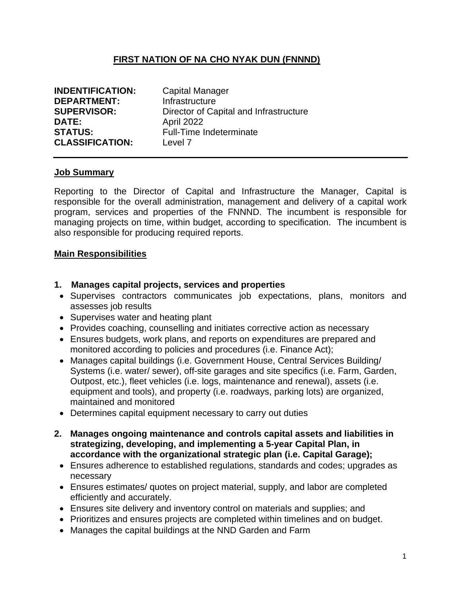### **FIRST NATION OF NA CHO NYAK DUN (FNNND)**

| <b>INDENTIFICATION:</b> | <b>Capital Manager</b>                 |
|-------------------------|----------------------------------------|
| <b>DEPARTMENT:</b>      | Infrastructure                         |
| <b>SUPERVISOR:</b>      | Director of Capital and Infrastructure |
| <b>DATE:</b>            | <b>April 2022</b>                      |
| <b>STATUS:</b>          | Full-Time Indeterminate                |
| <b>CLASSIFICATION:</b>  | Level 7                                |

#### **Job Summary**

Reporting to the Director of Capital and Infrastructure the Manager, Capital is responsible for the overall administration, management and delivery of a capital work program, services and properties of the FNNND. The incumbent is responsible for managing projects on time, within budget, according to specification. The incumbent is also responsible for producing required reports.

#### **Main Responsibilities**

#### **1. Manages capital projects, services and properties**

- Supervises contractors communicates job expectations, plans, monitors and assesses job results
- Supervises water and heating plant
- Provides coaching, counselling and initiates corrective action as necessary
- Ensures budgets, work plans, and reports on expenditures are prepared and monitored according to policies and procedures (i.e. Finance Act);
- Manages capital buildings (i.e. Government House, Central Services Building/ Systems (i.e. water/ sewer), off-site garages and site specifics (i.e. Farm, Garden, Outpost, etc.), fleet vehicles (i.e. logs, maintenance and renewal), assets (i.e. equipment and tools), and property (i.e. roadways, parking lots) are organized, maintained and monitored
- Determines capital equipment necessary to carry out duties
- **2. Manages ongoing maintenance and controls capital assets and liabilities in strategizing, developing, and implementing a 5-year Capital Plan, in accordance with the organizational strategic plan (i.e. Capital Garage);** 
	- Ensures adherence to established regulations, standards and codes; upgrades as necessary
	- Ensures estimates/ quotes on project material, supply, and labor are completed efficiently and accurately.
	- Ensures site delivery and inventory control on materials and supplies; and
	- Prioritizes and ensures projects are completed within timelines and on budget.
	- Manages the capital buildings at the NND Garden and Farm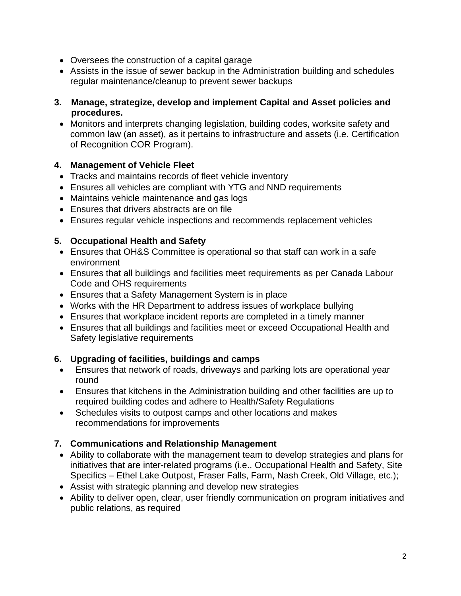- Oversees the construction of a capital garage
- Assists in the issue of sewer backup in the Administration building and schedules regular maintenance/cleanup to prevent sewer backups
- **3. Manage, strategize, develop and implement Capital and Asset policies and procedures.** 
	- Monitors and interprets changing legislation, building codes, worksite safety and common law (an asset), as it pertains to infrastructure and assets (i.e. Certification of Recognition COR Program).

## **4. Management of Vehicle Fleet**

- Tracks and maintains records of fleet vehicle inventory
- Ensures all vehicles are compliant with YTG and NND requirements
- Maintains vehicle maintenance and gas logs
- Ensures that drivers abstracts are on file
- Ensures regular vehicle inspections and recommends replacement vehicles

### **5. Occupational Health and Safety**

- Ensures that OH&S Committee is operational so that staff can work in a safe environment
- Ensures that all buildings and facilities meet requirements as per Canada Labour Code and OHS requirements
- Ensures that a Safety Management System is in place
- Works with the HR Department to address issues of workplace bullying
- Ensures that workplace incident reports are completed in a timely manner
- Ensures that all buildings and facilities meet or exceed Occupational Health and Safety legislative requirements

## **6. Upgrading of facilities, buildings and camps**

- Ensures that network of roads, driveways and parking lots are operational year round
- Ensures that kitchens in the Administration building and other facilities are up to required building codes and adhere to Health/Safety Regulations
- Schedules visits to outpost camps and other locations and makes recommendations for improvements

## **7. Communications and Relationship Management**

- Ability to collaborate with the management team to develop strategies and plans for initiatives that are inter-related programs (i.e., Occupational Health and Safety, Site Specifics – Ethel Lake Outpost, Fraser Falls, Farm, Nash Creek, Old Village, etc.);
- Assist with strategic planning and develop new strategies
- Ability to deliver open, clear, user friendly communication on program initiatives and public relations, as required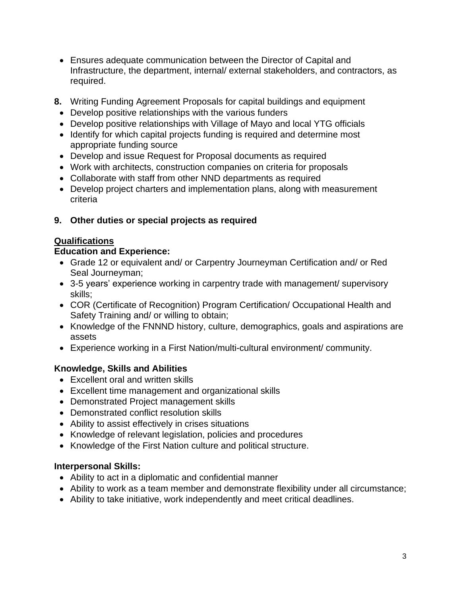- Ensures adequate communication between the Director of Capital and Infrastructure, the department, internal/ external stakeholders, and contractors, as required.
- **8.** Writing Funding Agreement Proposals for capital buildings and equipment
	- Develop positive relationships with the various funders
	- Develop positive relationships with Village of Mayo and local YTG officials
	- Identify for which capital projects funding is required and determine most appropriate funding source
	- Develop and issue Request for Proposal documents as required
	- Work with architects, construction companies on criteria for proposals
	- Collaborate with staff from other NND departments as required
	- Develop project charters and implementation plans, along with measurement criteria

## **9. Other duties or special projects as required**

## **Qualifications**

## **Education and Experience:**

- Grade 12 or equivalent and/ or Carpentry Journeyman Certification and/ or Red Seal Journeyman;
- 3-5 years' experience working in carpentry trade with management/ supervisory skills;
- COR (Certificate of Recognition) Program Certification/ Occupational Health and Safety Training and/ or willing to obtain;
- Knowledge of the FNNND history, culture, demographics, goals and aspirations are assets
- Experience working in a First Nation/multi-cultural environment/ community.

## **Knowledge, Skills and Abilities**

- Excellent oral and written skills
- Excellent time management and organizational skills
- Demonstrated Project management skills
- Demonstrated conflict resolution skills
- Ability to assist effectively in crises situations
- Knowledge of relevant legislation, policies and procedures
- Knowledge of the First Nation culture and political structure.

## **Interpersonal Skills:**

- Ability to act in a diplomatic and confidential manner
- Ability to work as a team member and demonstrate flexibility under all circumstance;
- Ability to take initiative, work independently and meet critical deadlines.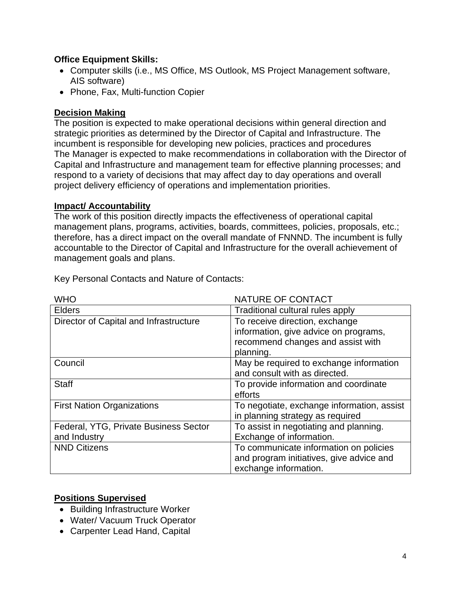### **Office Equipment Skills:**

- Computer skills (i.e., MS Office, MS Outlook, MS Project Management software, AIS software)
- Phone, Fax, Multi-function Copier

### **Decision Making**

The position is expected to make operational decisions within general direction and strategic priorities as determined by the Director of Capital and Infrastructure. The incumbent is responsible for developing new policies, practices and procedures The Manager is expected to make recommendations in collaboration with the Director of Capital and Infrastructure and management team for effective planning processes; and respond to a variety of decisions that may affect day to day operations and overall project delivery efficiency of operations and implementation priorities.

#### **Impact/ Accountability**

The work of this position directly impacts the effectiveness of operational capital management plans, programs, activities, boards, committees, policies, proposals, etc.; therefore, has a direct impact on the overall mandate of FNNND. The incumbent is fully accountable to the Director of Capital and Infrastructure for the overall achievement of management goals and plans.

| <b>WHO</b>                             | NATURE OF CONTACT                          |
|----------------------------------------|--------------------------------------------|
| <b>Elders</b>                          | Traditional cultural rules apply           |
| Director of Capital and Infrastructure | To receive direction, exchange             |
|                                        | information, give advice on programs,      |
|                                        | recommend changes and assist with          |
|                                        | planning.                                  |
| Council                                | May be required to exchange information    |
|                                        | and consult with as directed.              |
| <b>Staff</b>                           | To provide information and coordinate      |
|                                        | efforts                                    |
| <b>First Nation Organizations</b>      | To negotiate, exchange information, assist |
|                                        | in planning strategy as required           |
| Federal, YTG, Private Business Sector  | To assist in negotiating and planning.     |
| and Industry                           | Exchange of information.                   |
| <b>NND Citizens</b>                    | To communicate information on policies     |
|                                        | and program initiatives, give advice and   |
|                                        | exchange information.                      |

Key Personal Contacts and Nature of Contacts:

# **Positions Supervised**

- Building Infrastructure Worker
- Water/ Vacuum Truck Operator
- Carpenter Lead Hand, Capital